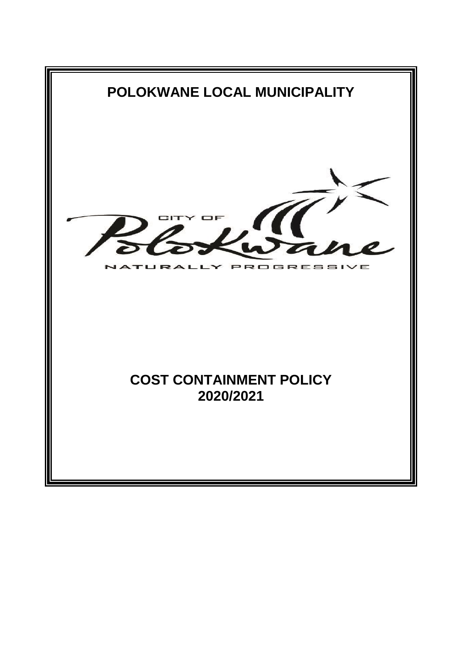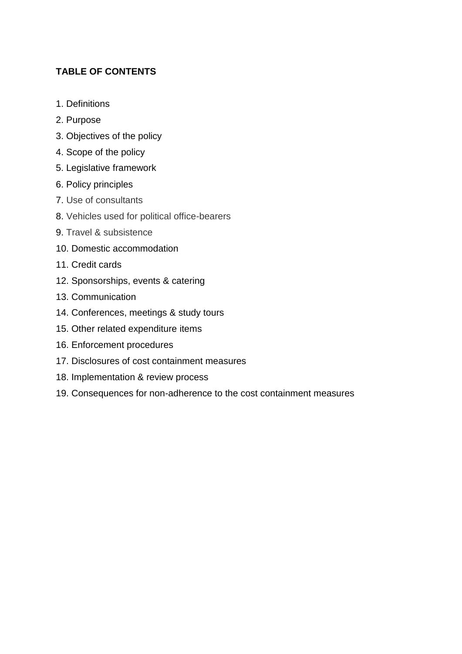# **TABLE OF CONTENTS**

- 1. Definitions
- 2. Purpose
- 3. Objectives of the policy
- 4. Scope of the policy
- 5. Legislative framework
- 6. Policy principles
- 7. Use of consultants
- 8. Vehicles used for political office-bearers
- 9. Travel & subsistence
- 10. Domestic accommodation
- 11. Credit cards
- 12. Sponsorships, events & catering
- 13. Communication
- 14. Conferences, meetings & study tours
- 15. Other related expenditure items
- 16. Enforcement procedures
- 17. Disclosures of cost containment measures
- 18. Implementation & review process
- 19. Consequences for non-adherence to the cost containment measures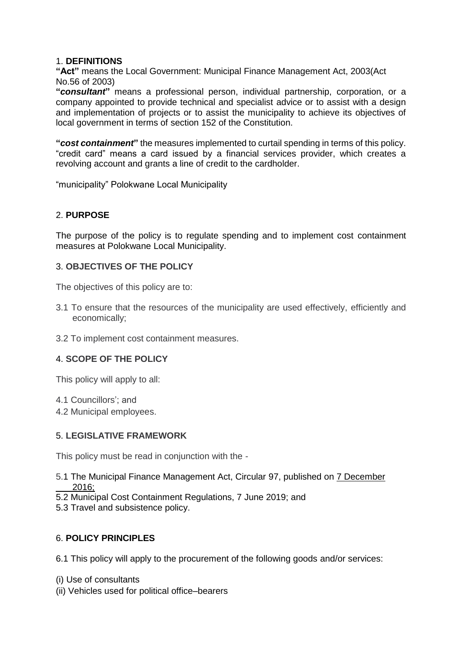### 1. **DEFINITIONS**

**"Act"** means the Local Government: Municipal Finance Management Act, 2003(Act No.56 of 2003)

**"***consultant***"** means a professional person, individual partnership, corporation, or a company appointed to provide technical and specialist advice or to assist with a design and implementation of projects or to assist the municipality to achieve its objectives of local government in terms of section 152 of the Constitution.

**"***cost containment***"** the measures implemented to curtail spending in terms of this policy. "credit card" means a card issued by a financial services provider, which creates a revolving account and grants a line of credit to the cardholder.

"municipality" Polokwane Local Municipality

### 2. **PURPOSE**

The purpose of the policy is to regulate spending and to implement cost containment measures at Polokwane Local Municipality.

### 3. **OBJECTIVES OF THE POLICY**

The objectives of this policy are to:

- 3.1 To ensure that the resources of the municipality are used effectively, efficiently and economically;
- 3.2 To implement cost containment measures.

#### 4. **SCOPE OF THE POLICY**

This policy will apply to all:

- 4.1 Councillors'; and
- 4.2 Municipal employees.

#### 5. **LEGISLATIVE FRAMEWORK**

This policy must be read in conjunction with the -

- 5.1 The Municipal Finance Management Act, Circular 97, published on 7 December 2016;
- 5.2 Municipal Cost Containment Regulations, 7 June 2019; and
- 5.3 Travel and subsistence policy.

#### 6. **POLICY PRINCIPLES**

6.1 This policy will apply to the procurement of the following goods and/or services:

- (i) Use of consultants
- (ii) Vehicles used for political office–bearers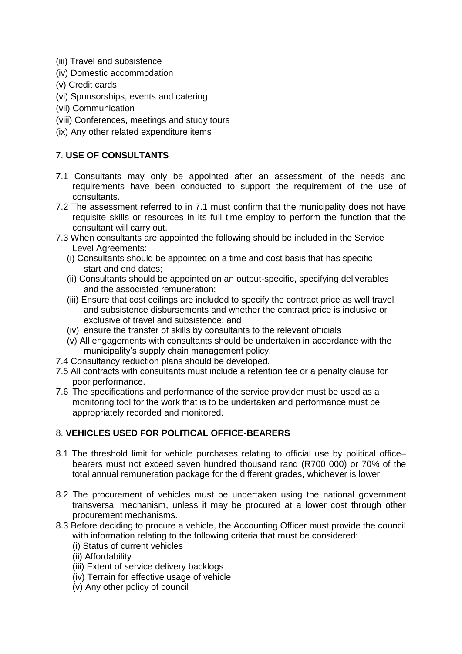- (iii) Travel and subsistence
- (iv) Domestic accommodation
- (v) Credit cards
- (vi) Sponsorships, events and catering
- (vii) Communication
- (viii) Conferences, meetings and study tours
- (ix) Any other related expenditure items

## 7. **USE OF CONSULTANTS**

- 7.1 Consultants may only be appointed after an assessment of the needs and requirements have been conducted to support the requirement of the use of consultants.
- 7.2 The assessment referred to in 7.1 must confirm that the municipality does not have requisite skills or resources in its full time employ to perform the function that the consultant will carry out.
- 7.3 When consultants are appointed the following should be included in the Service Level Agreements:
	- (i) Consultants should be appointed on a time and cost basis that has specific start and end dates;
	- (ii) Consultants should be appointed on an output-specific, specifying deliverables and the associated remuneration;
	- (iii) Ensure that cost ceilings are included to specify the contract price as well travel and subsistence disbursements and whether the contract price is inclusive or exclusive of travel and subsistence; and
	- (iv) ensure the transfer of skills by consultants to the relevant officials
	- (v) All engagements with consultants should be undertaken in accordance with the municipality's supply chain management policy.
- 7.4 Consultancy reduction plans should be developed.
- 7.5 All contracts with consultants must include a retention fee or a penalty clause for poor performance.
- 7.6 The specifications and performance of the service provider must be used as a monitoring tool for the work that is to be undertaken and performance must be appropriately recorded and monitored.

## 8. **VEHICLES USED FOR POLITICAL OFFICE-BEARERS**

- 8.1 The threshold limit for vehicle purchases relating to official use by political office– bearers must not exceed seven hundred thousand rand (R700 000) or 70% of the total annual remuneration package for the different grades, whichever is lower.
- 8.2 The procurement of vehicles must be undertaken using the national government transversal mechanism, unless it may be procured at a lower cost through other procurement mechanisms.
- 8.3 Before deciding to procure a vehicle, the Accounting Officer must provide the council with information relating to the following criteria that must be considered:
	- (i) Status of current vehicles
	- (ii) Affordability
	- (iii) Extent of service delivery backlogs
	- (iv) Terrain for effective usage of vehicle
	- (v) Any other policy of council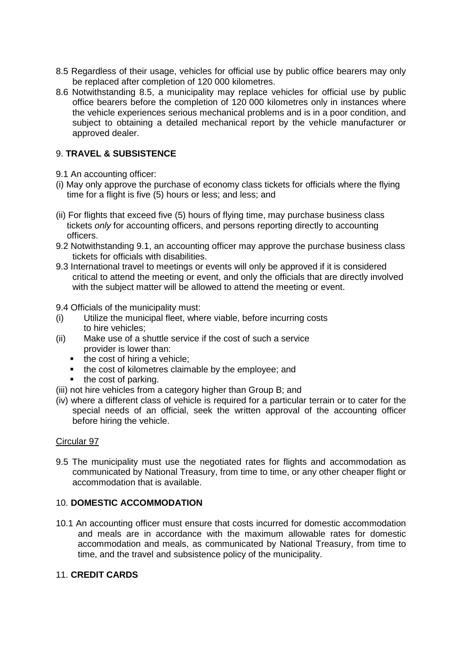- 8.5 Regardless of their usage, vehicles for official use by public office bearers may only be replaced after completion of 120 000 kilometres.
- 8.6 Notwithstanding 8.5, a municipality may replace vehicles for official use by public office bearers before the completion of 120 000 kilometres only in instances where the vehicle experiences serious mechanical problems and is in a poor condition, and subject to obtaining a detailed mechanical report by the vehicle manufacturer or approved dealer.

## 9. **TRAVEL & SUBSISTENCE**

- 9.1 An accounting officer:
- (i) May only approve the purchase of economy class tickets for officials where the flying time for a flight is five (5) hours or less; and less; and
- (ii) For flights that exceed five (5) hours of flying time, may purchase business class tickets *only* for accounting officers, and persons reporting directly to accounting officers.
- 9.2 Notwithstanding 9.1, an accounting officer may approve the purchase business class tickets for officials with disabilities.
- 9.3 International travel to meetings or events will only be approved if it is considered critical to attend the meeting or event, and only the officials that are directly involved with the subject matter will be allowed to attend the meeting or event.

9.4 Officials of the municipality must:

- (i) Utilize the municipal fleet, where viable, before incurring costs to hire vehicles;
- (ii) Make use of a shuttle service if the cost of such a service provider is lower than:
	- $\blacksquare$  the cost of hiring a vehicle;
	- the cost of kilometres claimable by the employee; and
	- the cost of parking.
- (iii) not hire vehicles from a category higher than Group B; and
- (iv) where a different class of vehicle is required for a particular terrain or to cater for the special needs of an official, seek the written approval of the accounting officer before hiring the vehicle.

#### Circular 97

9.5 The municipality must use the negotiated rates for flights and accommodation as communicated by National Treasury, from time to time, or any other cheaper flight or accommodation that is available.

#### 10. **DOMESTIC ACCOMMODATION**

10.1 An accounting officer must ensure that costs incurred for domestic accommodation and meals are in accordance with the maximum allowable rates for domestic accommodation and meals, as communicated by National Treasury, from time to time, and the travel and subsistence policy of the municipality.

### 11. **CREDIT CARDS**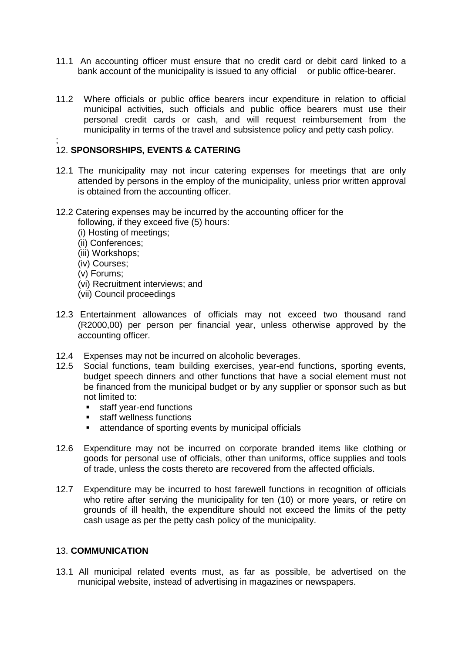- 11.1 An accounting officer must ensure that no credit card or debit card linked to a bank account of the municipality is issued to any official or public office-bearer.
- 11.2 Where officials or public office bearers incur expenditure in relation to official municipal activities, such officials and public office bearers must use their personal credit cards or cash, and will request reimbursement from the municipality in terms of the travel and subsistence policy and petty cash policy.

#### ; 12. **SPONSORSHIPS, EVENTS & CATERING**

- 12.1 The municipality may not incur catering expenses for meetings that are only attended by persons in the employ of the municipality, unless prior written approval is obtained from the accounting officer.
- 12.2 Catering expenses may be incurred by the accounting officer for the following, if they exceed five (5) hours:
	- (i) Hosting of meetings;
	- (ii) Conferences;
	- (iii) Workshops;
	- (iv) Courses;
	- (v) Forums;
	- (vi) Recruitment interviews; and
	- (vii) Council proceedings
- 12.3 Entertainment allowances of officials may not exceed two thousand rand (R2000,00) per person per financial year, unless otherwise approved by the accounting officer.
- 12.4 Expenses may not be incurred on alcoholic beverages.
- 12.5 Social functions, team building exercises, year-end functions, sporting events, budget speech dinners and other functions that have a social element must not be financed from the municipal budget or by any supplier or sponsor such as but not limited to:
	- **staff year-end functions**
	- **staff wellness functions**
	- attendance of sporting events by municipal officials
- 12.6 Expenditure may not be incurred on corporate branded items like clothing or goods for personal use of officials, other than uniforms, office supplies and tools of trade, unless the costs thereto are recovered from the affected officials.
- 12.7 Expenditure may be incurred to host farewell functions in recognition of officials who retire after serving the municipality for ten (10) or more years, or retire on grounds of ill health, the expenditure should not exceed the limits of the petty cash usage as per the petty cash policy of the municipality.

### 13. **COMMUNICATION**

13.1 All municipal related events must, as far as possible, be advertised on the municipal website, instead of advertising in magazines or newspapers.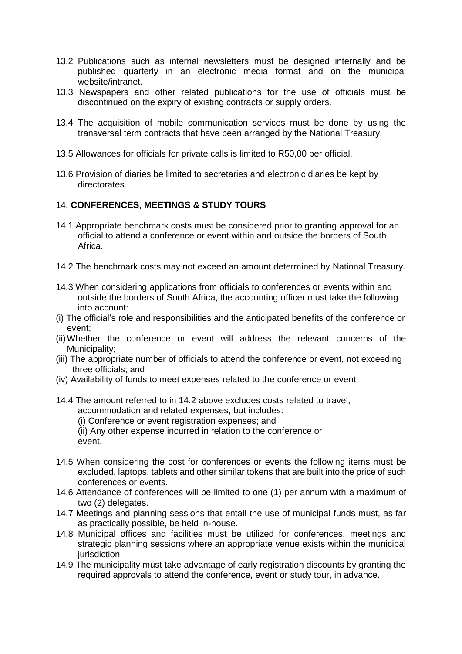- 13.2 Publications such as internal newsletters must be designed internally and be published quarterly in an electronic media format and on the municipal website/intranet.
- 13.3 Newspapers and other related publications for the use of officials must be discontinued on the expiry of existing contracts or supply orders.
- 13.4 The acquisition of mobile communication services must be done by using the transversal term contracts that have been arranged by the National Treasury.
- 13.5 Allowances for officials for private calls is limited to R50,00 per official.
- 13.6 Provision of diaries be limited to secretaries and electronic diaries be kept by directorates.

#### 14. **CONFERENCES, MEETINGS & STUDY TOURS**

- 14.1 Appropriate benchmark costs must be considered prior to granting approval for an official to attend a conference or event within and outside the borders of South Africa.
- 14.2 The benchmark costs may not exceed an amount determined by National Treasury.
- 14.3 When considering applications from officials to conferences or events within and outside the borders of South Africa, the accounting officer must take the following into account:
- (i) The official's role and responsibilities and the anticipated benefits of the conference or event;
- (ii)Whether the conference or event will address the relevant concerns of the Municipality;
- (iii) The appropriate number of officials to attend the conference or event, not exceeding three officials; and
- (iv) Availability of funds to meet expenses related to the conference or event.
- 14.4 The amount referred to in 14.2 above excludes costs related to travel, accommodation and related expenses, but includes:
	- (i) Conference or event registration expenses; and
	- (ii) Any other expense incurred in relation to the conference or event.
- 14.5 When considering the cost for conferences or events the following items must be excluded, laptops, tablets and other similar tokens that are built into the price of such conferences or events.
- 14.6 Attendance of conferences will be limited to one (1) per annum with a maximum of two (2) delegates.
- 14.7 Meetings and planning sessions that entail the use of municipal funds must, as far as practically possible, be held in-house.
- 14.8 Municipal offices and facilities must be utilized for conferences, meetings and strategic planning sessions where an appropriate venue exists within the municipal jurisdiction.
- 14.9 The municipality must take advantage of early registration discounts by granting the required approvals to attend the conference, event or study tour, in advance.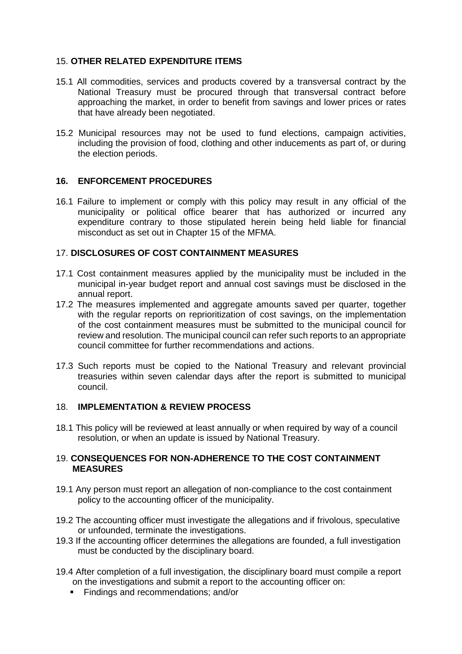### 15. **OTHER RELATED EXPENDITURE ITEMS**

- 15.1 All commodities, services and products covered by a transversal contract by the National Treasury must be procured through that transversal contract before approaching the market, in order to benefit from savings and lower prices or rates that have already been negotiated.
- 15.2 Municipal resources may not be used to fund elections, campaign activities, including the provision of food, clothing and other inducements as part of, or during the election periods.

### **16. ENFORCEMENT PROCEDURES**

16.1 Failure to implement or comply with this policy may result in any official of the municipality or political office bearer that has authorized or incurred any expenditure contrary to those stipulated herein being held liable for financial misconduct as set out in Chapter 15 of the MFMA.

### 17. **DISCLOSURES OF COST CONTAINMENT MEASURES**

- 17.1 Cost containment measures applied by the municipality must be included in the municipal in-year budget report and annual cost savings must be disclosed in the annual report.
- 17.2 The measures implemented and aggregate amounts saved per quarter, together with the regular reports on reprioritization of cost savings, on the implementation of the cost containment measures must be submitted to the municipal council for review and resolution. The municipal council can refer such reports to an appropriate council committee for further recommendations and actions.
- 17.3 Such reports must be copied to the National Treasury and relevant provincial treasuries within seven calendar days after the report is submitted to municipal council.

#### 18. **IMPLEMENTATION & REVIEW PROCESS**

18.1 This policy will be reviewed at least annually or when required by way of a council resolution, or when an update is issued by National Treasury.

#### 19. **CONSEQUENCES FOR NON-ADHERENCE TO THE COST CONTAINMENT MEASURES**

- 19.1 Any person must report an allegation of non-compliance to the cost containment policy to the accounting officer of the municipality.
- 19.2 The accounting officer must investigate the allegations and if frivolous, speculative or unfounded, terminate the investigations.
- 19.3 If the accounting officer determines the allegations are founded, a full investigation must be conducted by the disciplinary board.
- 19.4 After completion of a full investigation, the disciplinary board must compile a report on the investigations and submit a report to the accounting officer on:
	- Findings and recommendations; and/or